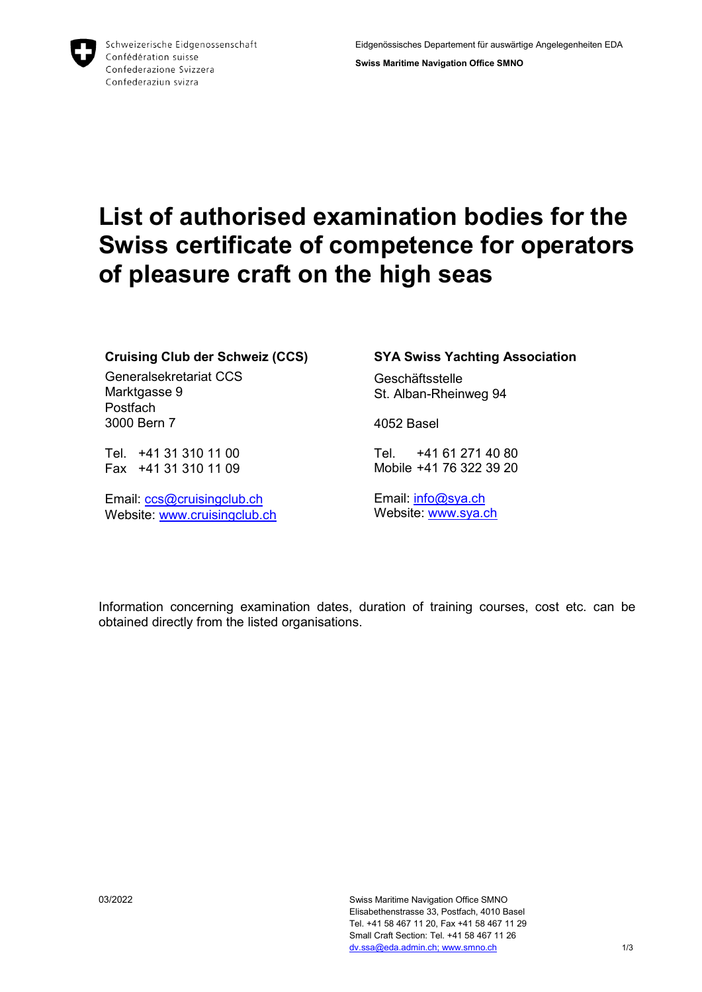Schweizerische Eidgenossenschaft Confédération suisse Confederazione Svizzera Confederaziun svizra

**Swiss Maritime Navigation Office SMNO**

## **List of authorised examination bodies for the Swiss certificate of competence for operators of pleasure craft on the high seas**

#### **Cruising Club der Schweiz (CCS)**

Generalsekretariat CCS Marktgasse 9 **Postfach** 3000 Bern 7

Tel. +41 31 310 11 00 Fax +41 31 310 11 09

Email: [ccs@cruisingclub.ch](mailto:ccs@cruisingclub.ch) Website: [www.cruisingclub.ch](http://www.cruisingclub.ch/)

#### **SYA Swiss Yachting Association**

**Geschäftsstelle** St. Alban-Rheinweg 94

4052 Basel

Tel. +41 61 271 40 80 Mobile +41 76 322 39 20

Email: [info@sya.ch](mailto:info@sya.ch) Website: [www.sya.ch](http://www.sya.ch/)

Information concerning examination dates, duration of training courses, cost etc. can be obtained directly from the listed organisations.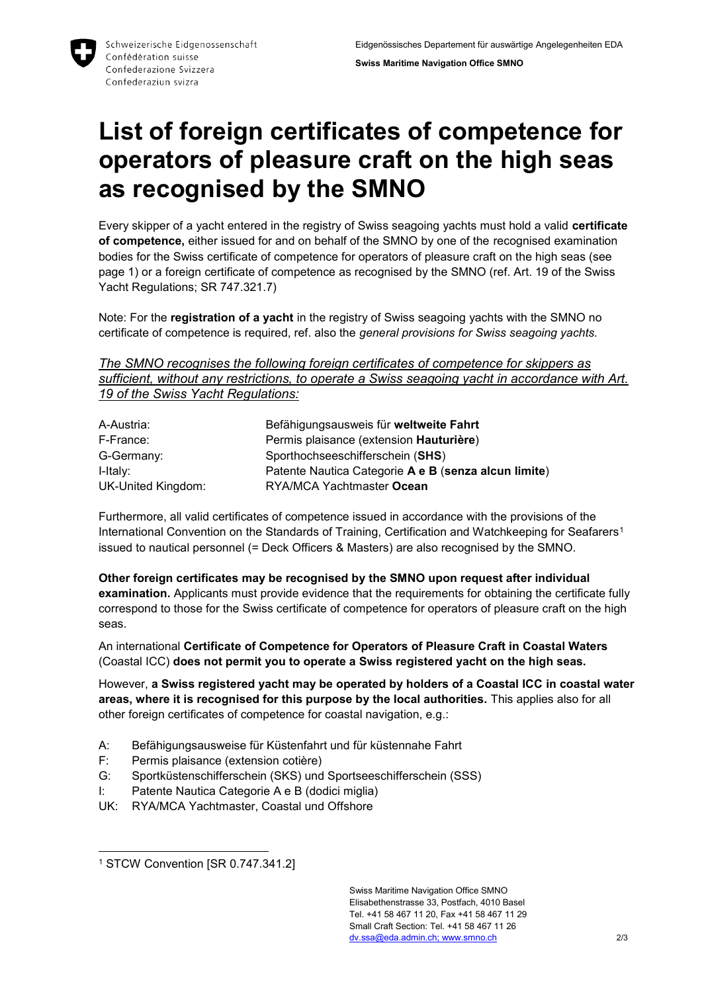**Swiss Maritime Navigation Office SMNO**

# **List of foreign certificates of competence for operators of pleasure craft on the high seas as recognised by the SMNO**

Every skipper of a yacht entered in the registry of Swiss seagoing yachts must hold a valid **certificate of competence,** either issued for and on behalf of the SMNO by one of the recognised examination bodies for the Swiss certificate of competence for operators of pleasure craft on the high seas (see page 1) or a foreign certificate of competence as recognised by the SMNO (ref. Art. 19 of the Swiss Yacht Regulations; SR 747.321.7)

Note: For the **registration of a yacht** in the registry of Swiss seagoing yachts with the SMNO no certificate of competence is required, ref. also the *general provisions for Swiss seagoing yachts.*

*The SMNO recognises the following foreign certificates of competence for skippers as sufficient, without any restrictions, to operate a Swiss seagoing yacht in accordance with Art. 19 of the Swiss Yacht Regulations:*

| A-Austria:         | Befähigungsausweis für weltweite Fahrt               |
|--------------------|------------------------------------------------------|
| F-France:          | Permis plaisance (extension Hauturière)              |
| G-Germany:         | Sporthochseeschifferschein (SHS)                     |
| I-Italy:           | Patente Nautica Categorie A e B (senza alcun limite) |
| UK-United Kingdom: | RYA/MCA Yachtmaster Ocean                            |

Furthermore, all valid certificates of competence issued in accordance with the provisions of the International Convention on the Standards of Training, Certification and Watchkeeping for Seafarers<sup>1</sup> issued to nautical personnel (= Deck Officers & Masters) are also recognised by the SMNO.

**Other foreign certificates may be recognised by the SMNO upon request after individual examination.** Applicants must provide evidence that the requirements for obtaining the certificate fully correspond to those for the Swiss certificate of competence for operators of pleasure craft on the high seas.

An international **Certificate of Competence for Operators of Pleasure Craft in Coastal Waters**  (Coastal ICC) **does not permit you to operate a Swiss registered yacht on the high seas.**

However, **a Swiss registered yacht may be operated by holders of a Coastal ICC in coastal water areas, where it is recognised for this purpose by the local authorities.** This applies also for all other foreign certificates of competence for coastal navigation, e.g.:

- A: Befähigungsausweise für Küstenfahrt und für küstennahe Fahrt
- F: Permis plaisance (extension cotière)
- G: Sportküstenschifferschein (SKS) und Sportseeschifferschein (SSS)
- I: Patente Nautica Categorie A e B (dodici miglia)
- UK: RYA/MCA Yachtmaster, Coastal und Offshore

<sup>-</sup><sup>1</sup> STCW Convention [SR 0.747.341.2]